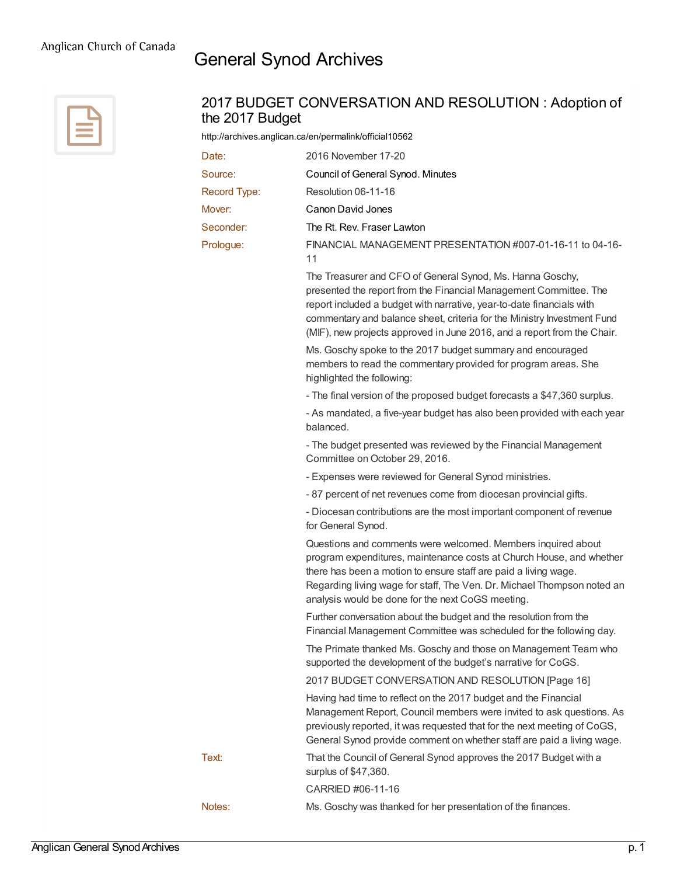## General Synod Archives



| the 2017 Budget | 2017 BUDGET CONVERSATION AND RESOLUTION: Adoption of                                                                                                                                                                                                                                                                                                          |
|-----------------|---------------------------------------------------------------------------------------------------------------------------------------------------------------------------------------------------------------------------------------------------------------------------------------------------------------------------------------------------------------|
|                 | http://archives.anglican.ca/en/permalink/official10562                                                                                                                                                                                                                                                                                                        |
| Date:           | 2016 November 17-20                                                                                                                                                                                                                                                                                                                                           |
| Source:         | Council of General Synod. Minutes                                                                                                                                                                                                                                                                                                                             |
| Record Type:    | Resolution 06-11-16                                                                                                                                                                                                                                                                                                                                           |
| Mover:          | Canon David Jones                                                                                                                                                                                                                                                                                                                                             |
| Seconder:       | The Rt. Rev. Fraser Lawton                                                                                                                                                                                                                                                                                                                                    |
| Prologue:       | FINANCIAL MANAGEMENT PRESENTATION #007-01-16-11 to 04-16-<br>11                                                                                                                                                                                                                                                                                               |
|                 | The Treasurer and CFO of General Synod, Ms. Hanna Goschy,<br>presented the report from the Financial Management Committee. The<br>report included a budget with narrative, year-to-date financials with<br>commentary and balance sheet, criteria for the Ministry Investment Fund<br>(MIF), new projects approved in June 2016, and a report from the Chair. |
|                 | Ms. Goschy spoke to the 2017 budget summary and encouraged<br>members to read the commentary provided for program areas. She<br>highlighted the following:                                                                                                                                                                                                    |
|                 | - The final version of the proposed budget forecasts a \$47,360 surplus.                                                                                                                                                                                                                                                                                      |
|                 | - As mandated, a five-year budget has also been provided with each year<br>balanced.                                                                                                                                                                                                                                                                          |
|                 | - The budget presented was reviewed by the Financial Management<br>Committee on October 29, 2016.                                                                                                                                                                                                                                                             |
|                 | - Expenses were reviewed for General Synod ministries.                                                                                                                                                                                                                                                                                                        |
|                 | - 87 percent of net revenues come from diocesan provincial gifts.                                                                                                                                                                                                                                                                                             |
|                 | - Diocesan contributions are the most important component of revenue<br>for General Synod.                                                                                                                                                                                                                                                                    |
|                 | Questions and comments were welcomed. Members inquired about<br>program expenditures, maintenance costs at Church House, and whether<br>there has been a motion to ensure staff are paid a living wage.<br>Regarding living wage for staff, The Ven. Dr. Michael Thompson noted an<br>analysis would be done for the next CoGS meeting.                       |
|                 | Further conversation about the budget and the resolution from the<br>Financial Management Committee was scheduled for the following day.                                                                                                                                                                                                                      |
|                 | The Primate thanked Ms. Goschy and those on Management Team who<br>supported the development of the budget's narrative for CoGS.                                                                                                                                                                                                                              |
|                 | 2017 BUDGET CONVERSATION AND RESOLUTION [Page 16]                                                                                                                                                                                                                                                                                                             |
|                 | Having had time to reflect on the 2017 budget and the Financial<br>Management Report, Council members were invited to ask questions. As<br>previously reported, it was requested that for the next meeting of CoGS,<br>General Synod provide comment on whether staff are paid a living wage.                                                                 |
| Text:           | That the Council of General Synod approves the 2017 Budget with a<br>surplus of \$47,360.                                                                                                                                                                                                                                                                     |
|                 | CARRIED #06-11-16                                                                                                                                                                                                                                                                                                                                             |
| Notes:          | Ms. Goschy was thanked for her presentation of the finances.                                                                                                                                                                                                                                                                                                  |